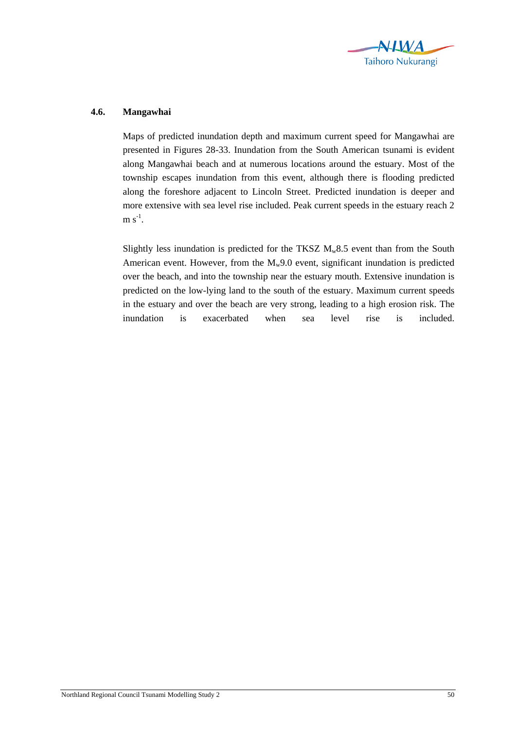

## **4.6. Mangawhai**

Maps of predicted inundation depth and maximum current speed for Mangawhai are presented in Figures 28-33. Inundation from the South American tsunami is evident along Mangawhai beach and at numerous locations around the estuary. Most of the township escapes inundation from this event, although there is flooding predicted along the foreshore adjacent to Lincoln Street. Predicted inundation is deeper and more extensive with sea level rise included. Peak current speeds in the estuary reach 2  $m s^{-1}$ .

Slightly less inundation is predicted for the TKSZ  $M_w 8.5$  event than from the South American event. However, from the  $M_w9.0$  event, significant inundation is predicted over the beach, and into the township near the estuary mouth. Extensive inundation is predicted on the low-lying land to the south of the estuary. Maximum current speeds in the estuary and over the beach are very strong, leading to a high erosion risk. The inundation is exacerbated when sea level rise is included.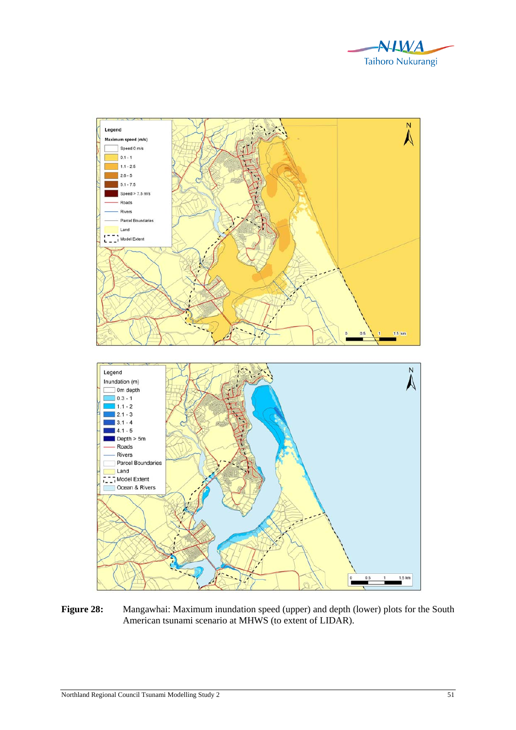



Figure 28: Mangawhai: Maximum inundation speed (upper) and depth (lower) plots for the South American tsunami scenario at MHWS (to extent of LIDAR).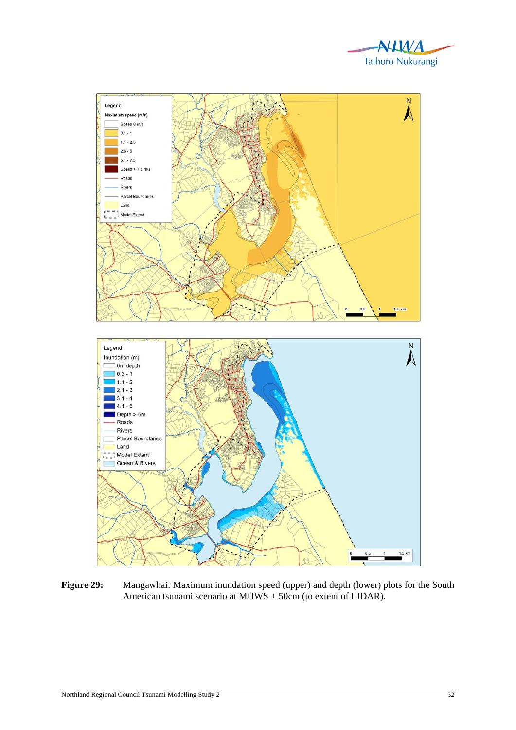



**Figure 29:** Mangawhai: Maximum inundation speed (upper) and depth (lower) plots for the South American tsunami scenario at MHWS + 50cm (to extent of LIDAR).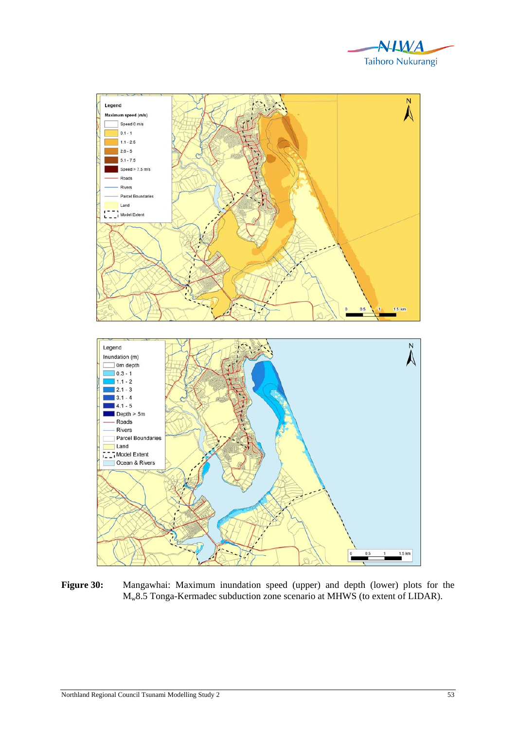



**Figure 30:** Mangawhai: Maximum inundation speed (upper) and depth (lower) plots for the Mw8.5 Tonga-Kermadec subduction zone scenario at MHWS (to extent of LIDAR).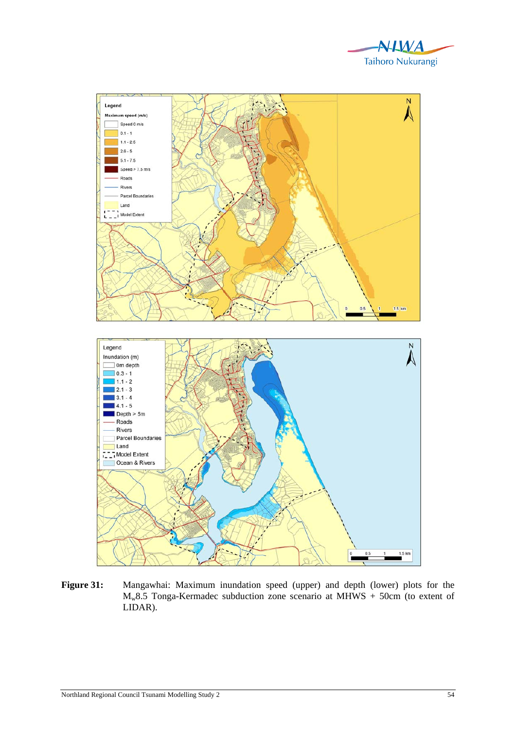



**Figure 31:** Mangawhai: Maximum inundation speed (upper) and depth (lower) plots for the  $M_w8.5$  Tonga-Kermadec subduction zone scenario at MHWS + 50cm (to extent of LIDAR).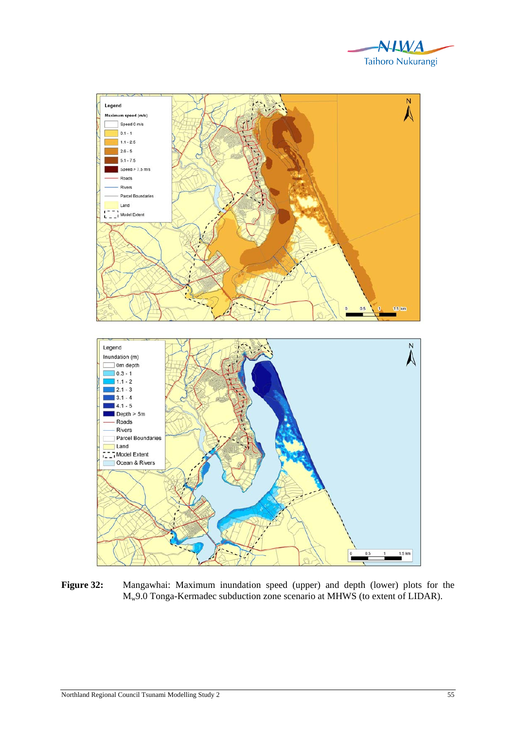



**Figure 32:** Mangawhai: Maximum inundation speed (upper) and depth (lower) plots for the Mw9.0 Tonga-Kermadec subduction zone scenario at MHWS (to extent of LIDAR).